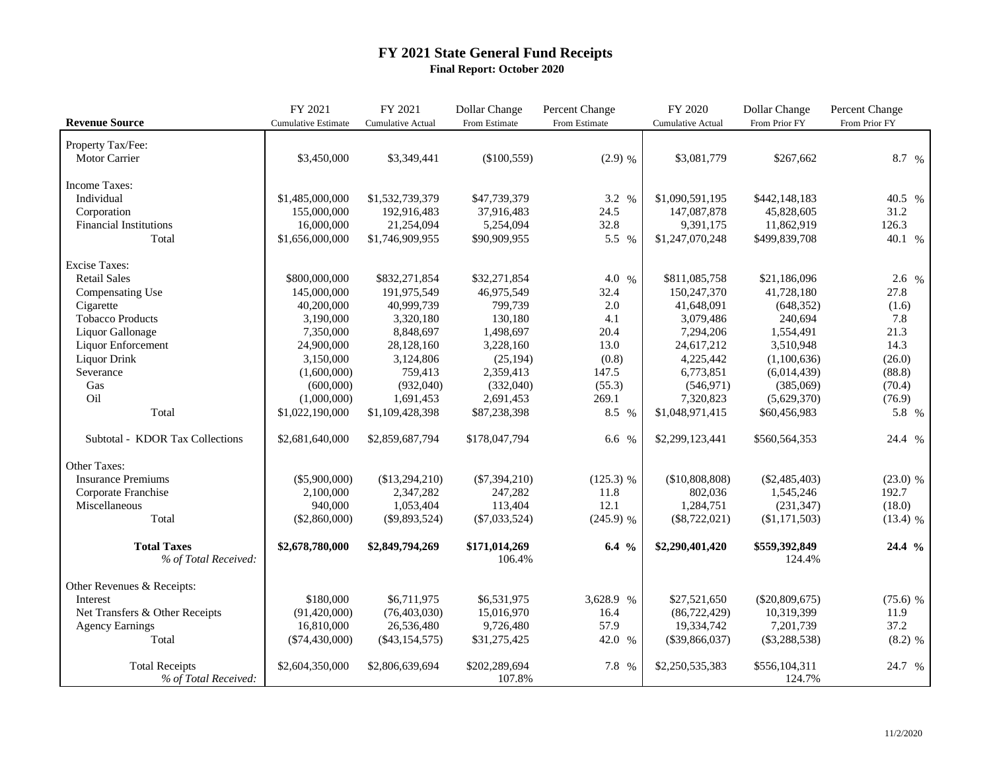## **FY 2021 State General Fund Receipts Final Report: October 2020**

|                                 | FY 2021                    | FY 2021                  | Dollar Change   | Percent Change | FY 2020                  | Dollar Change    | Percent Change |
|---------------------------------|----------------------------|--------------------------|-----------------|----------------|--------------------------|------------------|----------------|
| <b>Revenue Source</b>           | <b>Cumulative Estimate</b> | <b>Cumulative Actual</b> | From Estimate   | From Estimate  | <b>Cumulative Actual</b> | From Prior FY    | From Prior FY  |
| Property Tax/Fee:               |                            |                          |                 |                |                          |                  |                |
| Motor Carrier                   | \$3,450,000                | \$3,349,441              | (\$100,559)     | $(2.9)$ %      | \$3,081,779              | \$267,662        | 8.7 %          |
|                                 |                            |                          |                 |                |                          |                  |                |
| <b>Income Taxes:</b>            |                            |                          |                 |                |                          |                  |                |
| Individual                      | \$1,485,000,000            | \$1,532,739,379          | \$47,739,379    | 3.2 %          | \$1,090,591,195          | \$442,148,183    | 40.5 %         |
| Corporation                     | 155,000,000                | 192,916,483              | 37,916,483      | 24.5           | 147,087,878              | 45,828,605       | 31.2           |
| <b>Financial Institutions</b>   | 16,000,000                 | 21,254,094               | 5,254,094       | 32.8           | 9,391,175                | 11,862,919       | 126.3          |
| Total                           | \$1,656,000,000            | \$1,746,909,955          | \$90,909,955    | 5.5 %          | \$1,247,070,248          | \$499,839,708    | 40.1 %         |
| <b>Excise Taxes:</b>            |                            |                          |                 |                |                          |                  |                |
| <b>Retail Sales</b>             | \$800,000,000              | \$832,271,854            | \$32,271,854    | 4.0 %          | \$811,085,758            | \$21,186,096     | 2.6 %          |
| Compensating Use                | 145,000,000                | 191,975,549              | 46,975,549      | 32.4           | 150,247,370              | 41,728,180       | 27.8           |
| Cigarette                       | 40,200,000                 | 40,999,739               | 799,739         | 2.0            | 41,648,091               | (648, 352)       | (1.6)          |
| <b>Tobacco Products</b>         | 3,190,000                  | 3,320,180                | 130,180         | 4.1            | 3,079,486                | 240,694          | 7.8            |
| Liquor Gallonage                | 7,350,000                  | 8,848,697                | 1,498,697       | 20.4           | 7,294,206                | 1,554,491        | 21.3           |
| Liquor Enforcement              | 24,900,000                 | 28,128,160               | 3,228,160       | 13.0           | 24,617,212               | 3,510,948        | 14.3           |
| Liquor Drink                    | 3,150,000                  | 3,124,806                | (25, 194)       | (0.8)          | 4,225,442                | (1,100,636)      | (26.0)         |
| Severance                       | (1,600,000)                | 759,413                  | 2,359,413       | 147.5          | 6,773,851                | (6,014,439)      | (88.8)         |
| Gas                             | (600,000)                  | (932,040)                | (332,040)       | (55.3)         | (546, 971)               | (385,069)        | (70.4)         |
| Oil                             | (1,000,000)                | 1,691,453                | 2,691,453       | 269.1          | 7,320,823                | (5,629,370)      | (76.9)         |
| Total                           | \$1,022,190,000            | \$1,109,428,398          | \$87,238,398    | 8.5 %          | \$1,048,971,415          | \$60,456,983     | 5.8 %          |
|                                 |                            |                          |                 |                |                          |                  |                |
| Subtotal - KDOR Tax Collections | \$2,681,640,000            | \$2,859,687,794          | \$178,047,794   | 6.6 %          | \$2,299,123,441          | \$560,564,353    | 24.4 %         |
| Other Taxes:                    |                            |                          |                 |                |                          |                  |                |
| <b>Insurance Premiums</b>       | $(\$5,900,000)$            | (\$13,294,210)           | $(\$7,394,210)$ | $(125.3)$ %    | (\$10,808,808)           | $(\$2,485,403)$  | $(23.0)$ %     |
| Corporate Franchise             | 2,100,000                  | 2,347,282                | 247,282         | 11.8           | 802,036                  | 1,545,246        | 192.7          |
| Miscellaneous                   | 940,000                    | 1,053,404                | 113,404         | 12.1           | 1,284,751                | (231, 347)       | (18.0)         |
| Total                           | (\$2,860,000)              | $(\$9,893,524)$          | $(\$7,033,524)$ | $(245.9)$ %    | $(\$8,722,021)$          | (\$1,171,503)    | $(13.4)$ %     |
|                                 |                            |                          |                 |                |                          |                  |                |
| <b>Total Taxes</b>              | \$2,678,780,000            | \$2,849,794,269          | \$171,014,269   | $6.4\%$        | \$2,290,401,420          | \$559,392,849    | 24.4 %         |
| % of Total Received:            |                            |                          | 106.4%          |                |                          | 124.4%           |                |
| Other Revenues & Receipts:      |                            |                          |                 |                |                          |                  |                |
| Interest                        | \$180,000                  | \$6,711,975              | \$6,531,975     | 3,628.9 %      | \$27,521,650             | $(\$20,809,675)$ | $(75.6)$ %     |
| Net Transfers & Other Receipts  | (91,420,000)               | (76, 403, 030)           | 15,016,970      | 16.4           | (86, 722, 429)           | 10,319,399       | 11.9           |
| <b>Agency Earnings</b>          | 16,810,000                 | 26,536,480               | 9,726,480       | 57.9           | 19,334,742               | 7,201,739        | 37.2           |
| Total                           | $(\$74,430,000)$           | (\$43,154,575)           | \$31,275,425    | 42.0 %         | (\$39,866,037)           | $(\$3,288,538)$  | $(8.2)$ %      |
|                                 |                            |                          |                 |                |                          |                  |                |
| <b>Total Receipts</b>           | \$2,604,350,000            | \$2,806,639,694          | \$202,289,694   | 7.8 %          | \$2,250,535,383          | \$556,104,311    | 24.7 %         |
| % of Total Received:            |                            |                          | 107.8%          |                |                          | 124.7%           |                |